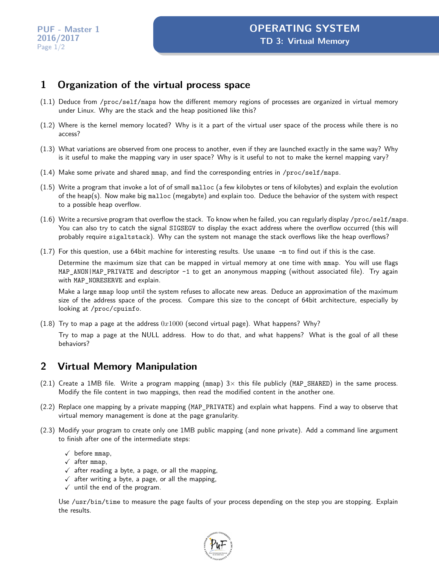#### **1 Organization of the virtual process space**

- (1.1) Deduce from /proc/self/maps how the different memory regions of processes are organized in virtual memory under Linux. Why are the stack and the heap positioned like this?
- (1.2) Where is the kernel memory located? Why is it a part of the virtual user space of the process while there is no access?
- (1.3) What variations are observed from one process to another, even if they are launched exactly in the same way? Why is it useful to make the mapping vary in user space? Why is it useful to not to make the kernel mapping vary?
- (1.4) Make some private and shared mmap, and find the corresponding entries in /proc/self/maps.
- (1.5) Write a program that invoke a lot of of small malloc (a few kilobytes or tens of kilobytes) and explain the evolution of the heap(s). Now make big malloc (megabyte) and explain too. Deduce the behavior of the system with respect to a possible heap overflow.
- (1.6) Write a recursive program that overflow the stack. To know when he failed, you can regularly display /proc/self/maps. You can also try to catch the signal SIGSEGV to display the exact address where the overflow occurred (this will probably require sigaltstack). Why can the system not manage the stack overflows like the heap overflows?
- (1.7) For this question, use a 64bit machine for interesting results. Use uname -m to find out if this is the case.

Determine the maximum size that can be mapped in virtual memory at one time with mmap. You will use flags MAP\_ANON|MAP\_PRIVATE and descriptor -1 to get an anonymous mapping (without associated file). Try again with MAP\_NORESERVE and explain.

Make a large mmap loop until the system refuses to allocate new areas. Deduce an approximation of the maximum size of the address space of the process. Compare this size to the concept of 64bit architecture, especially by looking at /proc/cpuinfo.

(1.8) Try to map a page at the address 0*x*1000 (second virtual page). What happens? Why?

Try to map a page at the NULL address. How to do that, and what happens? What is the goal of all these behaviors?

## **2 Virtual Memory Manipulation**

- (2.1) Create a 1MB file. Write a program mapping ( $mm$ )  $3\times$  this file publicly (MAP SHARED) in the same process. Modify the file content in two mappings, then read the modified content in the another one.
- (2.2) Replace one mapping by a private mapping (MAP\_PRIVATE) and explain what happens. Find a way to observe that virtual memory management is done at the page granularity.
- (2.3) Modify your program to create only one 1MB public mapping (and none private). Add a command line argument to finish after one of the intermediate steps:
	- $\checkmark$  before mmap,
	- $\sqrt{\phantom{a}}$  after mmap,
	- $\checkmark$  after reading a byte, a page, or all the mapping,
	- $\checkmark$  after writing a byte, a page, or all the mapping,
	- $\checkmark$  until the end of the program.

Use /usr/bin/time to measure the page faults of your process depending on the step you are stopping. Explain the results.